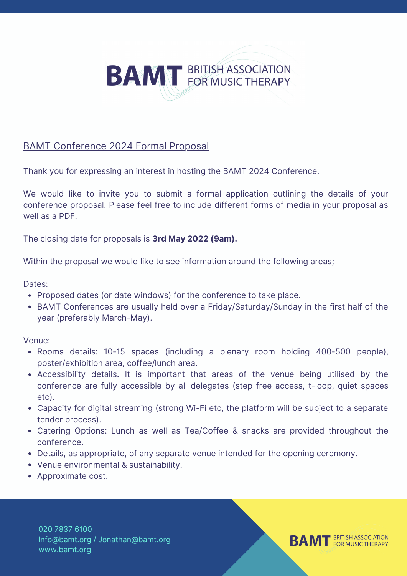

## BAMT Conference 2024 Formal Proposal

Thank you for expressing an interest in hosting the BAMT 2024 Conference.

We would like to invite you to submit a formal application outlining the details of your conference proposal. Please feel free to include different forms of media in your proposal as well as a PDF.

The closing date for proposals is **3rd May 2022 (9am).**

Within the proposal we would like to see information around the following areas;

Dates:

- Proposed dates (or date windows) for the conference to take place.
- BAMT Conferences are usually held over a Friday/Saturday/Sunday in the first half of the year (preferably March-May).

Venue:

- Rooms details: 10-15 spaces (including a plenary room holding 400-500 people), poster/exhibition area, coffee/lunch area.
- Accessibility details. It is important that areas of the venue being utilised by the conference are fully accessible by all delegates (step free access, t-loop, quiet spaces etc).
- Capacity for digital streaming (strong Wi-Fi etc, the platform will be subject to a separate tender process).
- Catering Options: Lunch as well as Tea/Coffee & snacks are provided throughout the conference.
- Details, as appropriate, of any separate venue intended for the opening ceremony.
- Venue environmental & sustainability.
- Approximate cost.

020 7837 6100 Info@bamt.org / Jonathan@bamt.org www.bamt.org